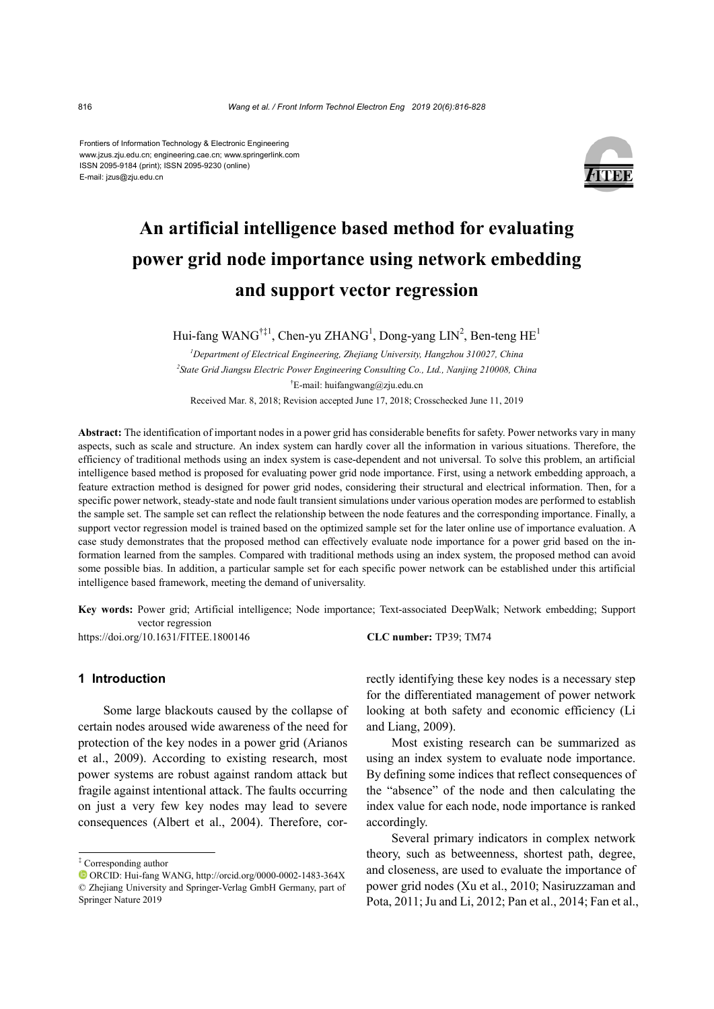Frontiers of Information Technology & Electronic Engineering www.jzus.zju.edu.cn; engineering.cae.cn; www.springerlink.com ISSN 2095-9184 (print); ISSN 2095-9230 (online) E-mail: jzus@zju.edu.cn



# **An artificial intelligence based method for evaluating power grid node importance using network embedding and support vector regression**

Hui-fang WANG<sup>†‡1</sup>, Chen-yu ZHANG<sup>1</sup>, Dong-yang LIN<sup>2</sup>, Ben-teng HE<sup>1</sup>

*1 Department of Electrical Engineering, Zhejiang University, Hangzhou 310027, China 2 State Grid Jiangsu Electric Power Engineering Consulting Co., Ltd., Nanjing 210008, China* † E-mail: huifangwang@zju.edu.cn

Received Mar. 8, 2018; Revision accepted June 17, 2018; Crosschecked June 11, 2019

**Abstract:** The identification of important nodes in a power grid has considerable benefits for safety. Power networks vary in many aspects, such as scale and structure. An index system can hardly cover all the information in various situations. Therefore, the efficiency of traditional methods using an index system is case-dependent and not universal. To solve this problem, an artificial intelligence based method is proposed for evaluating power grid node importance. First, using a network embedding approach, a feature extraction method is designed for power grid nodes, considering their structural and electrical information. Then, for a specific power network, steady-state and node fault transient simulations under various operation modes are performed to establish the sample set. The sample set can reflect the relationship between the node features and the corresponding importance. Finally, a support vector regression model is trained based on the optimized sample set for the later online use of importance evaluation. A case study demonstrates that the proposed method can effectively evaluate node importance for a power grid based on the information learned from the samples. Compared with traditional methods using an index system, the proposed method can avoid some possible bias. In addition, a particular sample set for each specific power network can be established under this artificial intelligence based framework, meeting the demand of universality.

**Key words:** Power grid; Artificial intelligence; Node importance; Text-associated DeepWalk; Network embedding; Support vector regression

https://doi.org/10.1631/FITEE.1800146 **CLC number:** TP39; TM74

### **1 Introduction**

Some large blackouts caused by the collapse of certain nodes aroused wide awareness of the need for protection of the key nodes in a power grid (Arianos et al., 2009). According to existing research, most power systems are robust against random attack but fragile against intentional attack. The faults occurring on just a very few key nodes may lead to severe consequences (Albert et al., 2004). Therefore, cor-

rectly identifying these key nodes is a necessary step for the differentiated management of power network looking at both safety and economic efficiency (Li and Liang, 2009).

Most existing research can be summarized as using an index system to evaluate node importance. By defining some indices that reflect consequences of the "absence" of the node and then calculating the index value for each node, node importance is ranked accordingly.

Several primary indicators in complex network theory, such as betweenness, shortest path, degree, and closeness, are used to evaluate the importance of power grid nodes (Xu et al., 2010; Nasiruzzaman and Pota, 2011; Ju and Li, 2012; Pan et al., 2014; Fan et al.,

<sup>‡</sup> Corresponding author

ORCID: Hui-fang WANG[, http://orcid.org/0000-0002-1483-364X](http://orcid.org/0000-0002-6574-1542) © Zhejiang University and Springer-Verlag GmbH Germany, part of Springer Nature 2019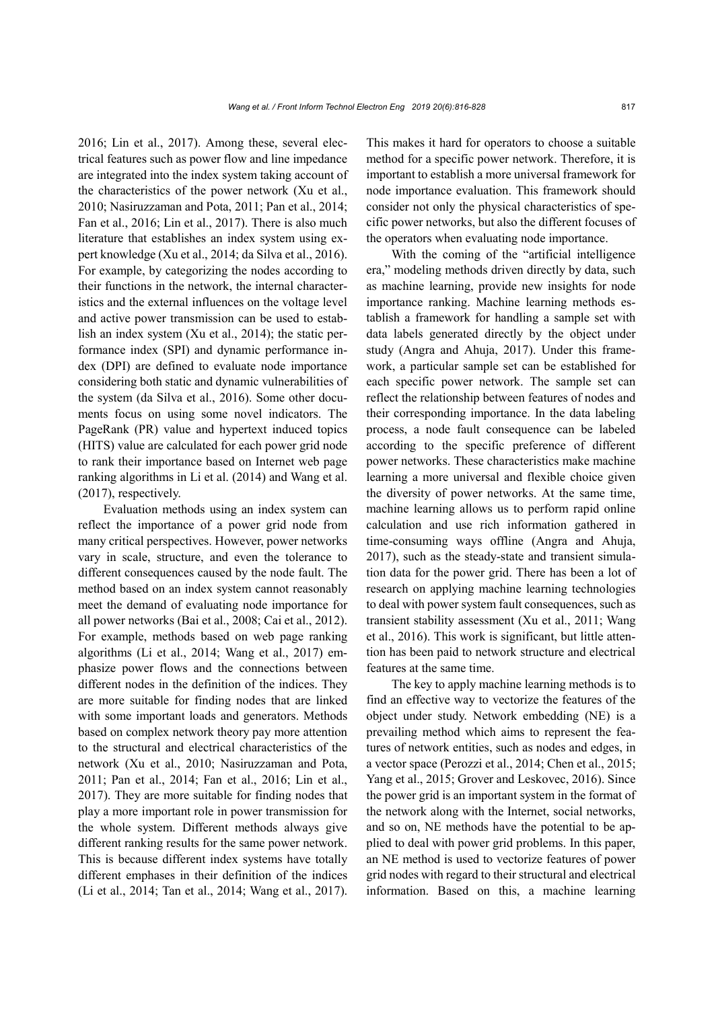2016; Lin et al., 2017). Among these, several electrical features such as power flow and line impedance are integrated into the index system taking account of the characteristics of the power network (Xu et al., 2010; Nasiruzzaman and Pota, 2011; Pan et al., 2014; Fan et al., 2016; Lin et al., 2017). There is also much literature that establishes an index system using expert knowledge (Xu et al., 2014; da Silva et al., 2016). For example, by categorizing the nodes according to their functions in the network, the internal characteristics and the external influences on the voltage level and active power transmission can be used to establish an index system (Xu et al., 2014); the static performance index (SPI) and dynamic performance index (DPI) are defined to evaluate node importance considering both static and dynamic vulnerabilities of the system (da Silva et al., 2016). Some other documents focus on using some novel indicators. The PageRank (PR) value and hypertext induced topics (HITS) value are calculated for each power grid node to rank their importance based on Internet web page ranking algorithms in Li et al. (2014) and Wang et al. (2017), respectively.

Evaluation methods using an index system can reflect the importance of a power grid node from many critical perspectives. However, power networks vary in scale, structure, and even the tolerance to different consequences caused by the node fault. The method based on an index system cannot reasonably meet the demand of evaluating node importance for all power networks (Bai et al., 2008; Cai et al., 2012). For example, methods based on web page ranking algorithms (Li et al., 2014; Wang et al., 2017) emphasize power flows and the connections between different nodes in the definition of the indices. They are more suitable for finding nodes that are linked with some important loads and generators. Methods based on complex network theory pay more attention to the structural and electrical characteristics of the network (Xu et al., 2010; Nasiruzzaman and Pota, 2011; Pan et al., 2014; Fan et al., 2016; Lin et al., 2017). They are more suitable for finding nodes that play a more important role in power transmission for the whole system. Different methods always give different ranking results for the same power network. This is because different index systems have totally different emphases in their definition of the indices (Li et al., 2014; Tan et al., 2014; Wang et al., 2017).

This makes it hard for operators to choose a suitable method for a specific power network. Therefore, it is important to establish a more universal framework for node importance evaluation. This framework should consider not only the physical characteristics of specific power networks, but also the different focuses of the operators when evaluating node importance.

With the coming of the "artificial intelligence era," modeling methods driven directly by data, such as machine learning, provide new insights for node importance ranking. Machine learning methods establish a framework for handling a sample set with data labels generated directly by the object under study (Angra and Ahuja, 2017). Under this framework, a particular sample set can be established for each specific power network. The sample set can reflect the relationship between features of nodes and their corresponding importance. In the data labeling process, a node fault consequence can be labeled according to the specific preference of different power networks. These characteristics make machine learning a more universal and flexible choice given the diversity of power networks. At the same time, machine learning allows us to perform rapid online calculation and use rich information gathered in time-consuming ways offline (Angra and Ahuja, 2017), such as the steady-state and transient simulation data for the power grid. There has been a lot of research on applying machine learning technologies to deal with power system fault consequences, such as transient stability assessment (Xu et al., 2011; Wang et al., 2016). This work is significant, but little attention has been paid to network structure and electrical features at the same time.

The key to apply machine learning methods is to find an effective way to vectorize the features of the object under study. Network embedding (NE) is a prevailing method which aims to represent the features of network entities, such as nodes and edges, in a vector space (Perozzi et al., 2014; Chen et al., 2015; Yang et al., 2015; Grover and Leskovec, 2016). Since the power grid is an important system in the format of the network along with the Internet, social networks, and so on, NE methods have the potential to be applied to deal with power grid problems. In this paper, an NE method is used to vectorize features of power grid nodes with regard to their structural and electrical information. Based on this, a machine learning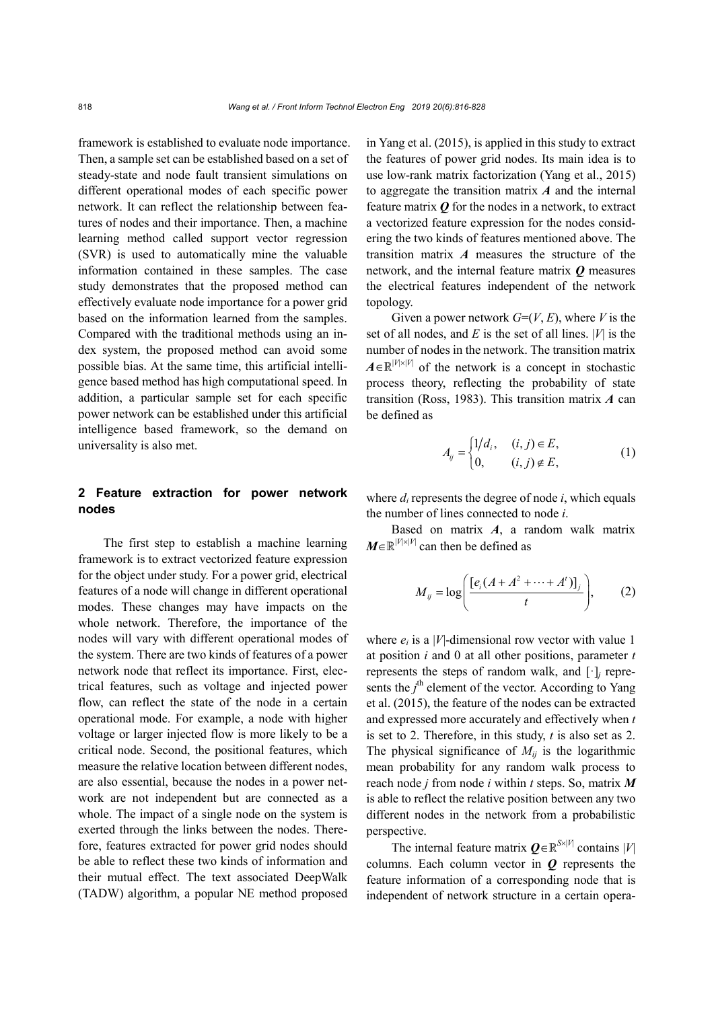framework is established to evaluate node importance. Then, a sample set can be established based on a set of steady-state and node fault transient simulations on different operational modes of each specific power network. It can reflect the relationship between features of nodes and their importance. Then, a machine learning method called support vector regression (SVR) is used to automatically mine the valuable information contained in these samples. The case study demonstrates that the proposed method can effectively evaluate node importance for a power grid based on the information learned from the samples. Compared with the traditional methods using an index system, the proposed method can avoid some possible bias. At the same time, this artificial intelligence based method has high computational speed. In addition, a particular sample set for each specific power network can be established under this artificial intelligence based framework, so the demand on universality is also met.

# **2 Feature extraction for power network nodes**

The first step to establish a machine learning framework is to extract vectorized feature expression for the object under study. For a power grid, electrical features of a node will change in different operational modes. These changes may have impacts on the whole network. Therefore, the importance of the nodes will vary with different operational modes of the system. There are two kinds of features of a power network node that reflect its importance. First, electrical features, such as voltage and injected power flow, can reflect the state of the node in a certain operational mode. For example, a node with higher voltage or larger injected flow is more likely to be a critical node. Second, the positional features, which measure the relative location between different nodes, are also essential, because the nodes in a power network are not independent but are connected as a whole. The impact of a single node on the system is exerted through the links between the nodes. Therefore, features extracted for power grid nodes should be able to reflect these two kinds of information and their mutual effect. The text associated DeepWalk (TADW) algorithm, a popular NE method proposed in Yang et al. (2015), is applied in this study to extract the features of power grid nodes. Its main idea is to use low-rank matrix factorization (Yang et al., 2015) to aggregate the transition matrix *A* and the internal feature matrix *Q* for the nodes in a network, to extract a vectorized feature expression for the nodes considering the two kinds of features mentioned above. The transition matrix *A* measures the structure of the network, and the internal feature matrix *Q* measures the electrical features independent of the network topology.

Given a power network  $G=(V, E)$ , where V is the set of all nodes, and *E* is the set of all lines. |*V*| is the number of nodes in the network. The transition matrix  $A \in \mathbb{R}^{|V| \times |V|}$  of the network is a concept in stochastic process theory, reflecting the probability of state transition (Ross, 1983). This transition matrix *A* can be defined as

$$
A_{ij} = \begin{cases} 1/d_i, & (i,j) \in E, \\ 0, & (i,j) \notin E, \end{cases} \tag{1}
$$

where  $d_i$  represents the degree of node  $i$ , which equals the number of lines connected to node *i*.

Based on matrix *A*, a random walk matrix  $M \in \mathbb{R}^{|V| \times |V|}$  can then be defined as

$$
M_{ij} = \log \left( \frac{[e_i(A + A^2 + \dots + A^t)]_j}{t} \right),
$$
 (2)

where  $e_i$  is a |*V*|-dimensional row vector with value 1 at position *i* and 0 at all other positions, parameter *t* represents the steps of random walk, and  $[\cdot]_i$  represents the *j*<sup>th</sup> element of the vector. According to Yang et al. (2015), the feature of the nodes can be extracted and expressed more accurately and effectively when *t* is set to 2. Therefore, in this study, *t* is also set as 2. The physical significance of  $M_{ij}$  is the logarithmic mean probability for any random walk process to reach node *j* from node *i* within *t* steps. So, matrix *M* is able to reflect the relative position between any two different nodes in the network from a probabilistic perspective.

The internal feature matrix  $Q \in \mathbb{R}^{S \times |V|}$  contains |*V*| columns. Each column vector in *Q* represents the feature information of a corresponding node that is independent of network structure in a certain opera-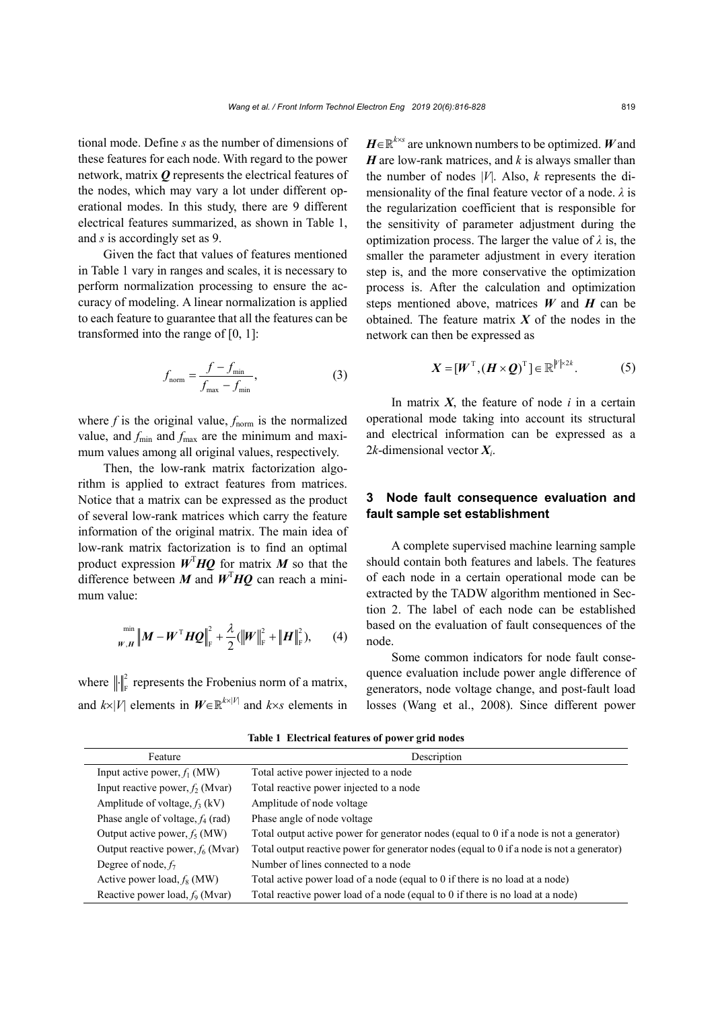tional mode. Define *s* as the number of dimensions of these features for each node. With regard to the power network, matrix *Q* represents the electrical features of the nodes, which may vary a lot under different operational modes. In this study, there are 9 different electrical features summarized, as shown in Table 1, and *s* is accordingly set as 9.

Given the fact that values of features mentioned in Table 1 vary in ranges and scales, it is necessary to perform normalization processing to ensure the accuracy of modeling. A linear normalization is applied to each feature to guarantee that all the features can be transformed into the range of [0, 1]:

$$
f_{\text{norm}} = \frac{f - f_{\text{min}}}{f_{\text{max}} - f_{\text{min}}},\tag{3}
$$

where  $f$  is the original value,  $f_{\text{norm}}$  is the normalized value, and  $f_{\text{min}}$  and  $f_{\text{max}}$  are the minimum and maximum values among all original values, respectively.

Then, the low-rank matrix factorization algorithm is applied to extract features from matrices. Notice that a matrix can be expressed as the product of several low-rank matrices which carry the feature information of the original matrix. The main idea of low-rank matrix factorization is to find an optimal product expression  $W<sup>T</sup>HQ$  for matrix M so that the difference between *M* and  $W<sup>T</sup>HQ$  can reach a minimum value:

$$
\min_{W,H} \left\| \boldsymbol{M} - \boldsymbol{W}^{\mathrm{T}} \boldsymbol{H} \boldsymbol{Q} \right\|_{\mathrm{F}}^2 + \frac{\lambda}{2} (\left\| \boldsymbol{W} \right\|_{\mathrm{F}}^2 + \left\| \boldsymbol{H} \right\|_{\mathrm{F}}^2), \qquad (4)
$$

where  $\left\| \cdot \right\|_{\mathrm{F}}^2$  represents the Frobenius norm of a matrix, and  $k \times |V|$  elements in  $W \in \mathbb{R}^{k \times |V|}$  and  $k \times s$  elements in

*H*∈ $\mathbb{R}^{k \times s}$  are unknown numbers to be optimized. *W* and *H* are low-rank matrices, and *k* is always smaller than the number of nodes |*V*|. Also, *k* represents the dimensionality of the final feature vector of a node. *λ* is the regularization coefficient that is responsible for the sensitivity of parameter adjustment during the optimization process. The larger the value of *λ* is, the smaller the parameter adjustment in every iteration step is, and the more conservative the optimization process is. After the calculation and optimization steps mentioned above, matrices *W* and *H* can be obtained. The feature matrix *X* of the nodes in the network can then be expressed as

$$
\boldsymbol{X} = [\boldsymbol{W}^{\mathrm{T}}, (\boldsymbol{H} \times \boldsymbol{Q})^{\mathrm{T}}] \in \mathbb{R}^{|\mathcal{V}| \times 2k}.
$$
 (5)

In matrix  $X$ , the feature of node  $i$  in a certain operational mode taking into account its structural and electrical information can be expressed as a 2*k*-dimensional vector *Xi*.

# **3 Node fault consequence evaluation and fault sample set establishment**

A complete supervised machine learning sample should contain both features and labels. The features of each node in a certain operational mode can be extracted by the TADW algorithm mentioned in Section 2. The label of each node can be established based on the evaluation of fault consequences of the node.

Some common indicators for node fault consequence evaluation include power angle difference of generators, node voltage change, and post-fault load losses (Wang et al., 2008). Since different power

| Feature                             | Description                                                                                    |  |
|-------------------------------------|------------------------------------------------------------------------------------------------|--|
| Input active power, $f_1$ (MW)      | Total active power injected to a node                                                          |  |
| Input reactive power, $f_2$ (Mvar)  | Total reactive power injected to a node                                                        |  |
| Amplitude of voltage, $f_3$ (kV)    | Amplitude of node voltage                                                                      |  |
| Phase angle of voltage, $f_4$ (rad) | Phase angle of node voltage                                                                    |  |
| Output active power, $f_5$ (MW)     | Total output active power for generator nodes (equal to $\theta$ if a node is not a generator) |  |
| Output reactive power, $f_6$ (Mvar) | Total output reactive power for generator nodes (equal to 0 if a node is not a generator)      |  |
| Degree of node, $f_7$               | Number of lines connected to a node                                                            |  |
| Active power load, $f_8$ (MW)       | Total active power load of a node (equal to 0 if there is no load at a node)                   |  |
| Reactive power load, $f_9$ (Mvar)   | Total reactive power load of a node (equal to 0 if there is no load at a node)                 |  |

**Table 1 Electrical features of power grid nodes**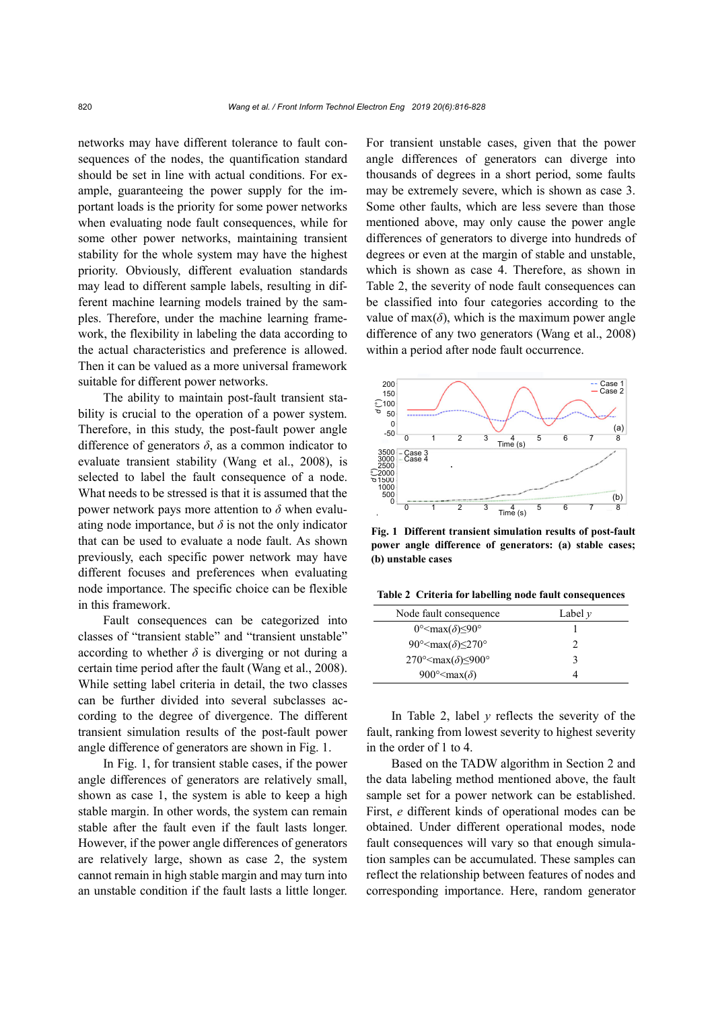networks may have different tolerance to fault consequences of the nodes, the quantification standard should be set in line with actual conditions. For example, guaranteeing the power supply for the important loads is the priority for some power networks when evaluating node fault consequences, while for some other power networks, maintaining transient stability for the whole system may have the highest priority. Obviously, different evaluation standards may lead to different sample labels, resulting in different machine learning models trained by the samples. Therefore, under the machine learning framework, the flexibility in labeling the data according to the actual characteristics and preference is allowed. Then it can be valued as a more universal framework suitable for different power networks.

The ability to maintain post-fault transient stability is crucial to the operation of a power system. Therefore, in this study, the post-fault power angle difference of generators  $\delta$ , as a common indicator to evaluate transient stability (Wang et al., 2008), is selected to label the fault consequence of a node. What needs to be stressed is that it is assumed that the power network pays more attention to  $\delta$  when evaluating node importance, but  $\delta$  is not the only indicator that can be used to evaluate a node fault. As shown previously, each specific power network may have different focuses and preferences when evaluating node importance. The specific choice can be flexible in this framework.

Fault consequences can be categorized into classes of "transient stable" and "transient unstable" according to whether  $\delta$  is diverging or not during a certain time period after the fault (Wang et al., 2008). While setting label criteria in detail, the two classes can be further divided into several subclasses according to the degree of divergence. The different transient simulation results of the post-fault power angle difference of generators are shown in Fig. 1.

In Fig. 1, for transient stable cases, if the power angle differences of generators are relatively small, shown as case 1, the system is able to keep a high stable margin. In other words, the system can remain stable after the fault even if the fault lasts longer. However, if the power angle differences of generators are relatively large, shown as case 2, the system cannot remain in high stable margin and may turn into an unstable condition if the fault lasts a little longer.

For transient unstable cases, given that the power angle differences of generators can diverge into thousands of degrees in a short period, some faults may be extremely severe, which is shown as case 3. Some other faults, which are less severe than those mentioned above, may only cause the power angle differences of generators to diverge into hundreds of degrees or even at the margin of stable and unstable, which is shown as case 4. Therefore, as shown in Table 2, the severity of node fault consequences can be classified into four categories according to the value of max $(\delta)$ , which is the maximum power angle difference of any two generators (Wang et al., 2008) within a period after node fault occurrence.



**Fig. 1 Different transient simulation results of post-fault power angle difference of generators: (a) stable cases; (b) unstable cases**

**Table 2 Criteria for labelling node fault consequences**

| Node fault consequence                                    | Label $\nu$ |
|-----------------------------------------------------------|-------------|
| 0° $\text{max}(\delta) \leq 90^{\circ}$                   |             |
| 90 $\degree$ max $(\delta)$ $\leq$ 270 $\degree$          | 2           |
| 270 $\textdegree$ max $(\delta)$ $\leq$ 900 $\textdegree$ | 3           |
| 900 $\infty$ max $(\delta)$                               |             |

In Table 2, label *y* reflects the severity of the fault, ranking from lowest severity to highest severity in the order of 1 to 4.

Based on the TADW algorithm in Section 2 and the data labeling method mentioned above, the fault sample set for a power network can be established. First, *e* different kinds of operational modes can be obtained. Under different operational modes, node fault consequences will vary so that enough simulation samples can be accumulated. These samples can reflect the relationship between features of nodes and corresponding importance. Here, random generator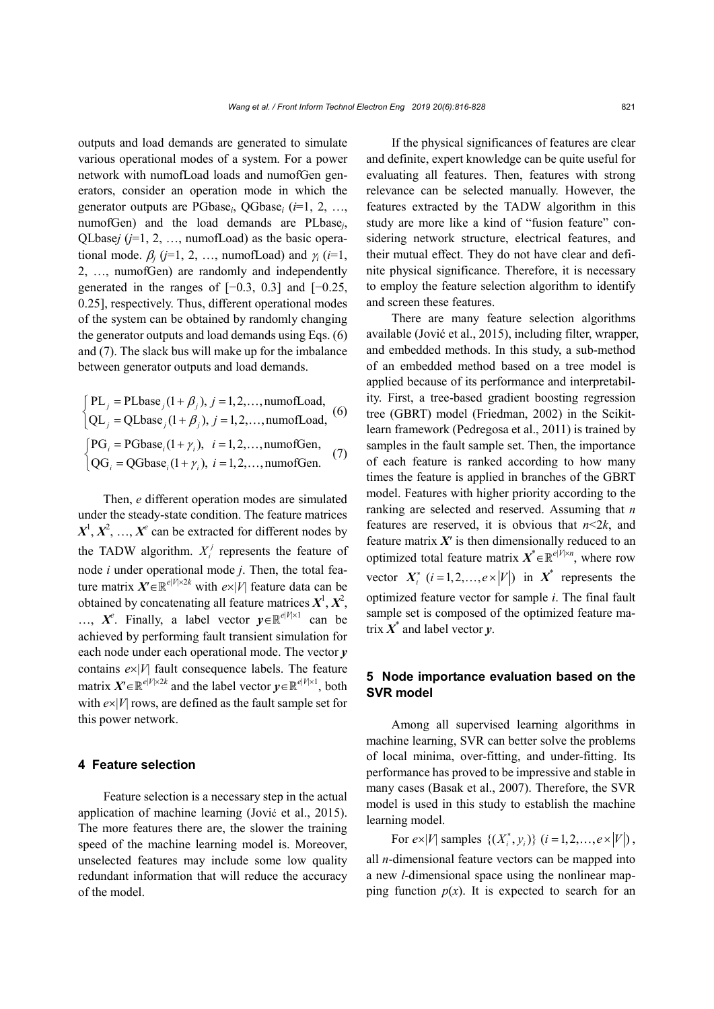outputs and load demands are generated to simulate various operational modes of a system. For a power network with numofLoad loads and numofGen generators, consider an operation mode in which the generator outputs are PGbase*i*, QGbase*<sup>i</sup>* (*i*=1, 2, …, numofGen) and the load demands are PLbase*j*, QLbase*j* (*j*=1, 2, …, numofLoad) as the basic operational mode.  $\beta_i$  ( $i=1, 2, \ldots$ , numofLoad) and  $\gamma_i$  ( $i=1,$ 2, …, numofGen) are randomly and independently generated in the ranges of  $[-0.3, 0.3]$  and  $[-0.25,$ 0.25], respectively. Thus, different operational modes of the system can be obtained by randomly changing the generator outputs and load demands using Eqs. (6) and (7). The slack bus will make up for the imbalance between generator outputs and load demands.

$$
\begin{cases}\n\text{PL}_j = \text{PLbase}_j(1 + \beta_j), j = 1, 2, \dots, \text{numofLoad}, \\
\text{QL}_j = \text{QLbase}_j(1 + \beta_j), j = 1, 2, \dots, \text{numofLoad},\n\end{cases}
$$
\n
$$
\begin{cases}\n\text{PG}_i = \text{PGbase}_i(1 + \gamma_i), \quad i = 1, 2, \dots, \text{numofGen}, \\
\text{QG}_i = \text{QGbase}_i(1 + \gamma_i), \quad i = 1, 2, \dots, \text{numofGen}.\n\end{cases}
$$
\n(7)

Then, *e* different operation modes are simulated under the steady-state condition. The feature matrices  $X^1, X^2, ..., X^e$  can be extracted for different nodes by the TADW algorithm.  $X_i^j$  represents the feature of node *i* under operational mode *j*. Then, the total feature matrix  $X' \in \mathbb{R}^{e|V| \times 2k}$  with  $e \times |V|$  feature data can be obtained by concatenating all feature matrices  $X^1, X^2$ , ...,  $X^e$ . Finally, a label vector  $y \in \mathbb{R}^{e|V| \times 1}$  can be achieved by performing fault transient simulation for each node under each operational mode. The vector *y* contains  $e \times |V|$  fault consequence labels. The feature matrix  $X' \in \mathbb{R}^{e|V| \times 2k}$  and the label vector  $y \in \mathbb{R}^{e|V| \times 1}$ , both with *e*×|*V*| rows, are defined as the fault sample set for this power network.

#### **4 Feature selection**

Feature selection is a necessary step in the actual application of machine learning (Jović et al., 2015). The more features there are, the slower the training speed of the machine learning model is. Moreover, unselected features may include some low quality redundant information that will reduce the accuracy of the model.

If the physical significances of features are clear and definite, expert knowledge can be quite useful for evaluating all features. Then, features with strong relevance can be selected manually. However, the features extracted by the TADW algorithm in this study are more like a kind of "fusion feature" considering network structure, electrical features, and their mutual effect. They do not have clear and definite physical significance. Therefore, it is necessary to employ the feature selection algorithm to identify and screen these features.

There are many feature selection algorithms available (Jović et al., 2015), including filter, wrapper, and embedded methods. In this study, a sub-method of an embedded method based on a tree model is applied because of its performance and interpretability. First, a tree-based gradient boosting regression tree (GBRT) model (Friedman, 2002) in the Scikitlearn framework (Pedregosa et al., 2011) is trained by samples in the fault sample set. Then, the importance of each feature is ranked according to how many times the feature is applied in branches of the GBRT model. Features with higher priority according to the ranking are selected and reserved. Assuming that *n* features are reserved, it is obvious that  $n<2k$ , and feature matrix  $X'$  is then dimensionally reduced to an optimized total feature matrix  $X^* \in \mathbb{R}^{e|V| \times n}$ , where row vector  $X_i^*$  ( $i = 1, 2, ..., e \times |V|$ ) in  $X^*$  represents the optimized feature vector for sample *i*. The final fault sample set is composed of the optimized feature matrix  $X^*$  and label vector  $y$ .

# **5 Node importance evaluation based on the SVR model**

Among all supervised learning algorithms in machine learning, SVR can better solve the problems of local minima, over-fitting, and under-fitting. Its performance has proved to be impressive and stable in many cases (Basak et al., 2007). Therefore, the SVR model is used in this study to establish the machine learning model.

For  $e \times |V|$  samples  $\{(X_i^*, y_i)\}$   $(i = 1, 2, ..., e \times |V|)$ ,

all *n*-dimensional feature vectors can be mapped into a new *l*-dimensional space using the nonlinear mapping function  $p(x)$ . It is expected to search for an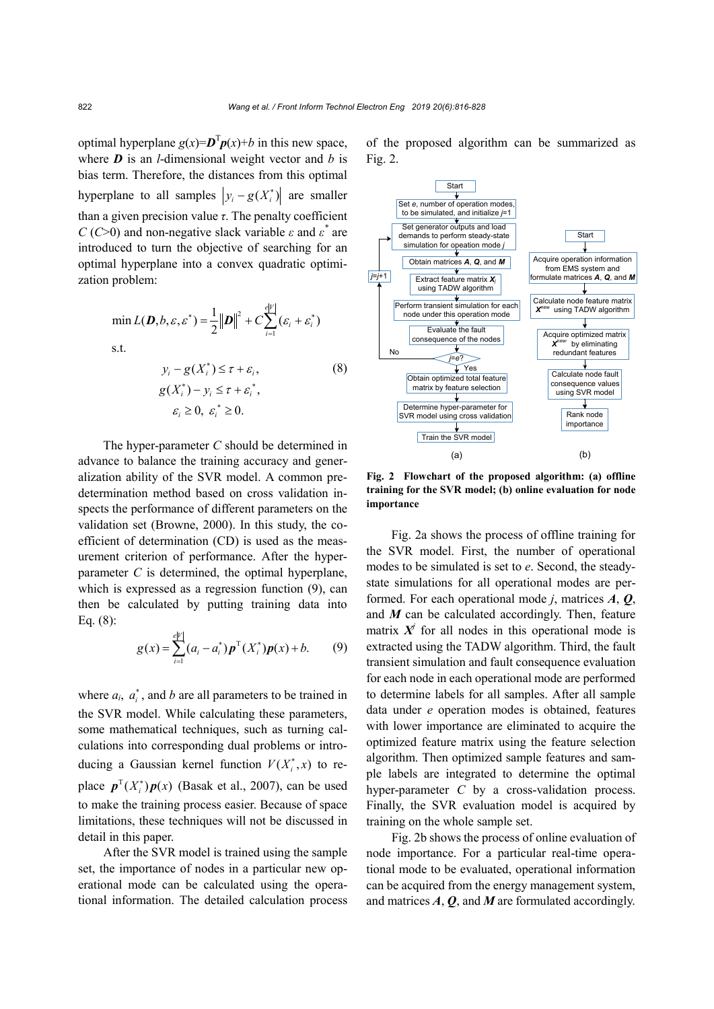optimal hyperplane  $g(x)=D^{T}p(x)+b$  in this new space, where *D* is an *l*-dimensional weight vector and *b* is bias term. Therefore, the distances from this optimal hyperplane to all samples  $|y_i - g(X_i^*)|$  are smaller than a given precision value *τ*. The penalty coefficient *C* (*C*>0) and non-negative slack variable *ε* and *ε \** are introduced to turn the objective of searching for an optimal hyperplane into a convex quadratic optimization problem:

$$
\min L(\boldsymbol{D}, b, \varepsilon, \varepsilon^*) = \frac{1}{2} ||\boldsymbol{D}||^2 + C \sum_{i=1}^{e|V|} (\varepsilon_i + \varepsilon_i^*)
$$
  
s.t.  

$$
y_i - g(X_i^*) \le \tau + \varepsilon_i,
$$

$$
g(X_i^*) - y_i \le \tau + \varepsilon_i^*,
$$

$$
\varepsilon_i \ge 0, \ \varepsilon_i^* \ge 0.
$$
 (8)

The hyper-parameter *C* should be determined in advance to balance the training accuracy and generalization ability of the SVR model. A common predetermination method based on cross validation inspects the performance of different parameters on the validation set (Browne, 2000). In this study, the coefficient of determination (CD) is used as the measurement criterion of performance. After the hyperparameter *C* is determined, the optimal hyperplane, which is expressed as a regression function (9), can then be calculated by putting training data into Eq. (8):

$$
g(x) = \sum_{i=1}^{e|V|} (a_i - a_i^*) \mathbf{p}^{T}(X_i^*) \mathbf{p}(x) + b. \qquad (9)
$$

where  $a_i$ ,  $a_i^*$ , and *b* are all parameters to be trained in the SVR model. While calculating these parameters, some mathematical techniques, such as turning calculations into corresponding dual problems or introducing a Gaussian kernel function  $V(X_i^*, x)$  to replace  $p^T(X_i^*)p(x)$  (Basak et al., 2007), can be used to make the training process easier. Because of space limitations, these techniques will not be discussed in detail in this paper.

After the SVR model is trained using the sample set, the importance of nodes in a particular new operational mode can be calculated using the operational information. The detailed calculation process of the proposed algorithm can be summarized as Fig. 2.



**Fig. 2 Flowchart of the proposed algorithm: (a) offline training for the SVR model; (b) online evaluation for node importance**

Fig. 2a shows the process of offline training for the SVR model. First, the number of operational modes to be simulated is set to *e*. Second, the steadystate simulations for all operational modes are performed. For each operational mode *j*, matrices *A*, *Q*, and *M* can be calculated accordingly. Then, feature matrix  $X<sup>j</sup>$  for all nodes in this operational mode is extracted using the TADW algorithm. Third, the fault transient simulation and fault consequence evaluation for each node in each operational mode are performed to determine labels for all samples. After all sample data under *e* operation modes is obtained, features with lower importance are eliminated to acquire the optimized feature matrix using the feature selection algorithm. Then optimized sample features and sample labels are integrated to determine the optimal hyper-parameter *C* by a cross-validation process. Finally, the SVR evaluation model is acquired by training on the whole sample set.

Fig. 2b shows the process of online evaluation of node importance. For a particular real-time operational mode to be evaluated, operational information can be acquired from the energy management system, and matrices *A*, *Q*, and *M* are formulated accordingly.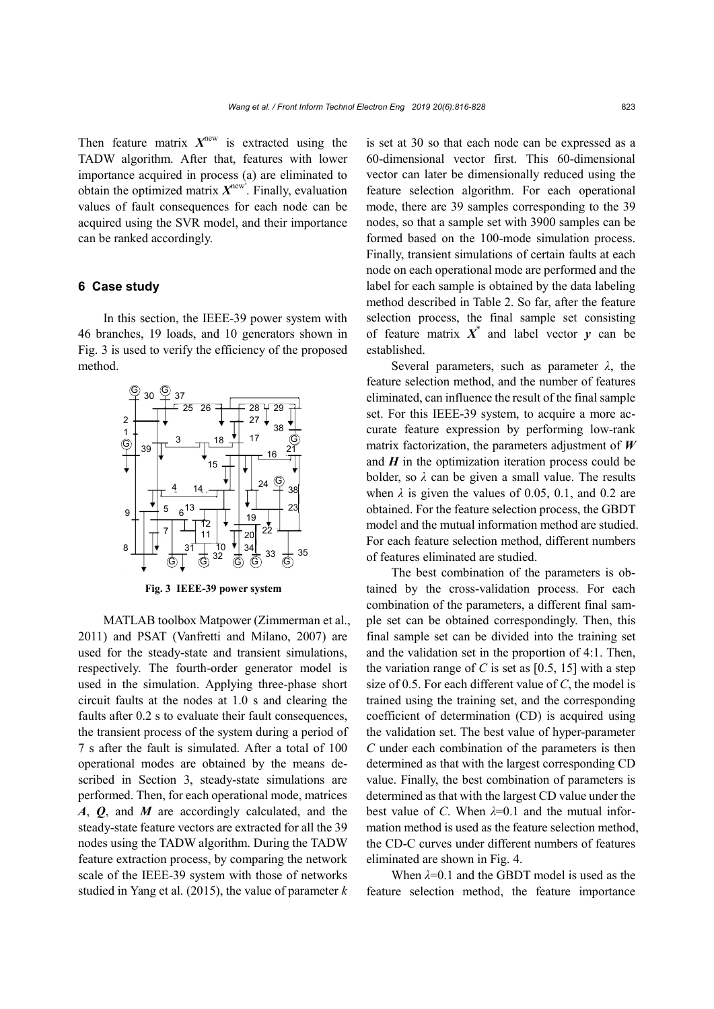Then feature matrix  $X^{new}$  is extracted using the TADW algorithm. After that, features with lower importance acquired in process (a) are eliminated to obtain the optimized matrix *X*new′ . Finally, evaluation values of fault consequences for each node can be acquired using the SVR model, and their importance can be ranked accordingly.

## **6 Case study**

In this section, the IEEE-39 power system with 46 branches, 19 loads, and 10 generators shown in Fig. 3 is used to verify the efficiency of the proposed method.



**Fig. 3 IEEE-39 power system**

MATLAB toolbox Matpower (Zimmerman et al., 2011) and PSAT (Vanfretti and Milano, 2007) are used for the steady-state and transient simulations, respectively. The fourth-order generator model is used in the simulation. Applying three-phase short circuit faults at the nodes at 1.0 s and clearing the faults after 0.2 s to evaluate their fault consequences. the transient process of the system during a period of 7 s after the fault is simulated. After a total of 100 operational modes are obtained by the means described in Section 3, steady-state simulations are performed. Then, for each operational mode, matrices *A*, *Q*, and *M* are accordingly calculated, and the steady-state feature vectors are extracted for all the 39 nodes using the TADW algorithm. During the TADW feature extraction process, by comparing the network scale of the IEEE-39 system with those of networks studied in Yang et al. (2015), the value of parameter *k*

is set at 30 so that each node can be expressed as a 60-dimensional vector first. This 60-dimensional vector can later be dimensionally reduced using the feature selection algorithm. For each operational mode, there are 39 samples corresponding to the 39 nodes, so that a sample set with 3900 samples can be formed based on the 100-mode simulation process. Finally, transient simulations of certain faults at each node on each operational mode are performed and the label for each sample is obtained by the data labeling method described in Table 2. So far, after the feature selection process, the final sample set consisting of feature matrix  $X^*$  and label vector  $\nu$  can be established.

Several parameters, such as parameter *λ*, the feature selection method, and the number of features eliminated, can influence the result of the final sample set. For this IEEE-39 system, to acquire a more accurate feature expression by performing low-rank matrix factorization, the parameters adjustment of *W* and  $H$  in the optimization iteration process could be bolder, so  $\lambda$  can be given a small value. The results when  $\lambda$  is given the values of 0.05, 0.1, and 0.2 are obtained. For the feature selection process, the GBDT model and the mutual information method are studied. For each feature selection method, different numbers of features eliminated are studied.

The best combination of the parameters is obtained by the cross-validation process. For each combination of the parameters, a different final sample set can be obtained correspondingly. Then, this final sample set can be divided into the training set and the validation set in the proportion of 4:1. Then, the variation range of *C* is set as  $[0.5, 15]$  with a step size of 0.5. For each different value of *C*, the model is trained using the training set, and the corresponding coefficient of determination (CD) is acquired using the validation set. The best value of hyper-parameter *C* under each combination of the parameters is then determined as that with the largest corresponding CD value. Finally, the best combination of parameters is determined as that with the largest CD value under the best value of *C*. When *λ*=0.1 and the mutual information method is used as the feature selection method, the CD-C curves under different numbers of features eliminated are shown in Fig. 4.

When *λ*=0.1 and the GBDT model is used as the feature selection method, the feature importance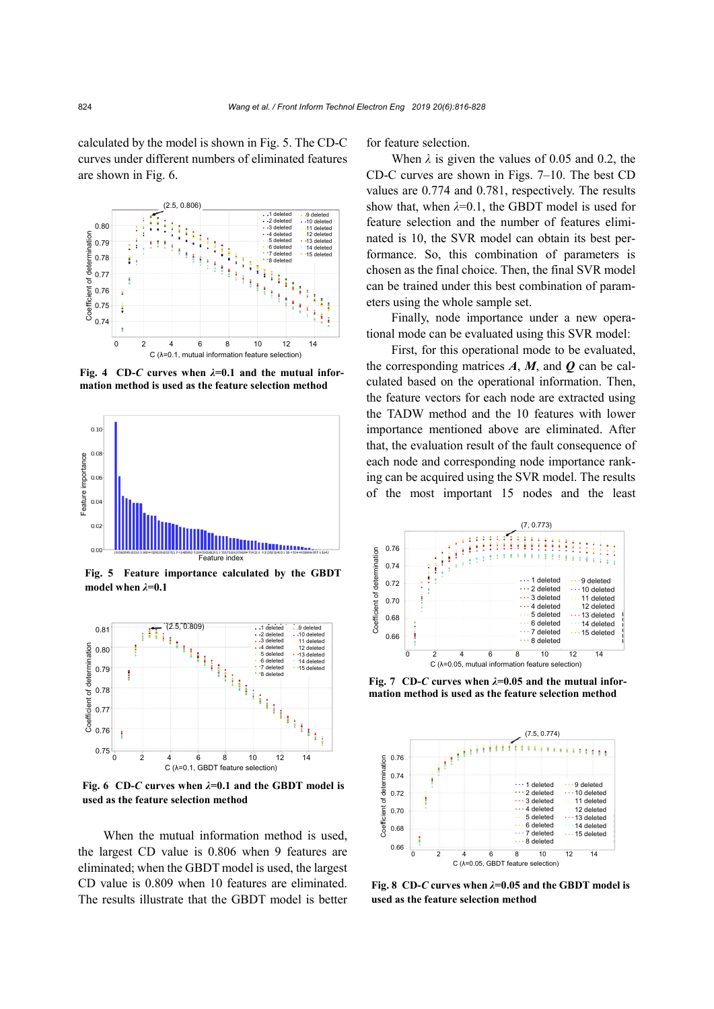calculated by the model is shown in Fig. 5. The CD-C curves under different numbers of eliminated features are shown in Fig. 6.



**Fig. 4** CD-*C* curves when  $\lambda=0.1$  and the mutual infor**mation method is used as the feature selection method**



**Fig. 5 Feature importance calculated by the GBDT model when** *λ***=0.1**



**Fig. 6 CD-***C* **curves when** *λ***=0.1 and the GBDT model is used as the feature selection method**

When the mutual information method is used, the largest CD value is 0.806 when 9 features are eliminated; when the GBDT model is used, the largest CD value is 0.809 when 10 features are eliminated. The results illustrate that the GBDT model is better for feature selection.

When  $\lambda$  is given the values of 0.05 and 0.2, the CD-C curves are shown in Figs. 7–10. The best CD values are 0.774 and 0.781, respectively. The results show that, when  $\lambda=0.1$ , the GBDT model is used for feature selection and the number of features eliminated is 10, the SVR model can obtain its best performance. So, this combination of parameters is chosen as the final choice. Then, the final SVR model can be trained under this best combination of parameters using the whole sample set.

Finally, node importance under a new operational mode can be evaluated using this SVR model:

First, for this operational mode to be evaluated, the corresponding matrices  $A$ ,  $M$ , and  $Q$  can be calculated based on the operational information. Then, the feature vectors for each node are extracted using the TADW method and the 10 features with lower importance mentioned above are eliminated. After that, the evaluation result of the fault consequence of each node and corresponding node importance ranking can be acquired using the SVR model. The results of the most important 15 nodes and the least



**Fig. 7** CD-*C* curves when  $\lambda = 0.05$  and the mutual infor**mation method is used as the feature selection method**



**Fig. 8 CD-***C* **curves when** *λ***=0.05 and the GBDT model is used as the feature selection method**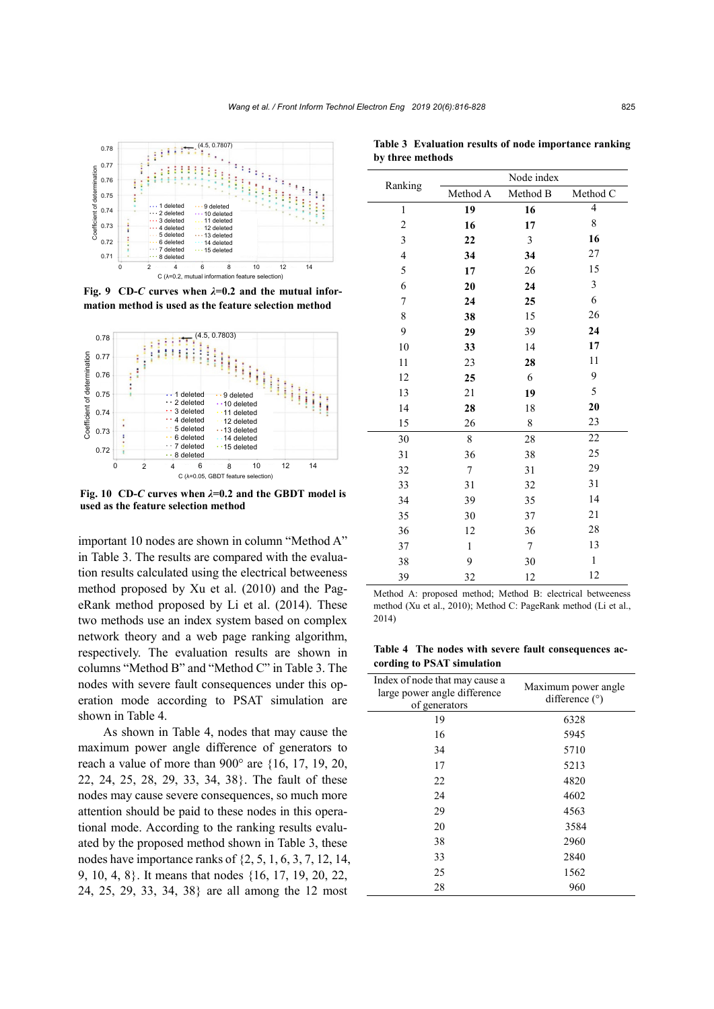

**Fig. 9** CD-*C* curves when  $\lambda=0.2$  and the mutual infor**mation method is used as the feature selection method**



**Fig. 10 CD-***C* **curves when** *λ***=0.2 and the GBDT model is used as the feature selection method**

important 10 nodes are shown in column "Method A" in Table 3. The results are compared with the evaluation results calculated using the electrical betweeness method proposed by Xu et al. (2010) and the PageRank method proposed by Li et al. (2014). These two methods use an index system based on complex network theory and a web page ranking algorithm, respectively. The evaluation results are shown in columns "Method B" and "Method C" in Table 3. The nodes with severe fault consequences under this operation mode according to PSAT simulation are shown in Table 4.

As shown in Table 4, nodes that may cause the maximum power angle difference of generators to reach a value of more than  $900^\circ$  are  $\{16, 17, 19, 20,$ 22, 24, 25, 28, 29, 33, 34, 38}. The fault of these nodes may cause severe consequences, so much more attention should be paid to these nodes in this operational mode. According to the ranking results evaluated by the proposed method shown in Table 3, these nodes have importance ranks of {2, 5, 1, 6, 3, 7, 12, 14, 9, 10, 4, 8}. It means that nodes {16, 17, 19, 20, 22, 24, 25, 29, 33, 34, 38} are all among the 12 most

| Ranking                 | Node index   |          |                |
|-------------------------|--------------|----------|----------------|
|                         | Method A     | Method B | Method C       |
| $\mathbf{1}$            | 19           | 16       | $\overline{4}$ |
| $\overline{c}$          | 16           | 17       | 8              |
| $\overline{\mathbf{3}}$ | 22           | 3        | 16             |
| $\overline{4}$          | 34           | 34       | 27             |
| 5                       | 17           | 26       | 15             |
| 6                       | 20           | 24       | 3              |
| 7                       | 24           | 25       | 6              |
| 8                       | 38           | 15       | 26             |
| 9                       | 29           | 39       | 24             |
| 10                      | 33           | 14       | 17             |
| 11                      | 23           | 28       | 11             |
| 12                      | 25           | 6        | 9              |
| 13                      | 21           | 19       | 5              |
| 14                      | 28           | 18       | 20             |
| 15                      | 26           | 8        | 23             |
| 30                      | $\,8\,$      | 28       | 22             |
| 31                      | 36           | 38       | 25             |
| 32                      | 7            | 31       | 29             |
| 33                      | 31           | 32       | 31             |
| 34                      | 39           | 35       | 14             |
| 35                      | 30           | 37       | 21             |
| 36                      | 12           | 36       | 28             |
| 37                      | $\mathbf{1}$ | 7        | 13             |
| 38                      | 9            | 30       | $\mathbf{1}$   |
| 39                      | 32           | 12       | 12             |

**Table 3 Evaluation results of node importance ranking by three methods**

Method A: proposed method; Method B: electrical betweeness method (Xu et al., 2010); Method C: PageRank method (Li et al., 2014)

**Table 4 The nodes with severe fault consequences according to PSAT simulation** 

| Index of node that may cause a<br>large power angle difference<br>of generators | Maximum power angle<br>difference $(°)$ |  |
|---------------------------------------------------------------------------------|-----------------------------------------|--|
| 19                                                                              | 6328                                    |  |
| 16                                                                              | 5945                                    |  |
| 34                                                                              | 5710                                    |  |
| 17                                                                              | 5213                                    |  |
| 22                                                                              | 4820                                    |  |
| 24                                                                              | 4602                                    |  |
| 29                                                                              | 4563                                    |  |
| 20                                                                              | 3584                                    |  |
| 38                                                                              | 2960                                    |  |
| 33                                                                              | 2840                                    |  |
| 25                                                                              | 1562                                    |  |
| 28                                                                              | 960                                     |  |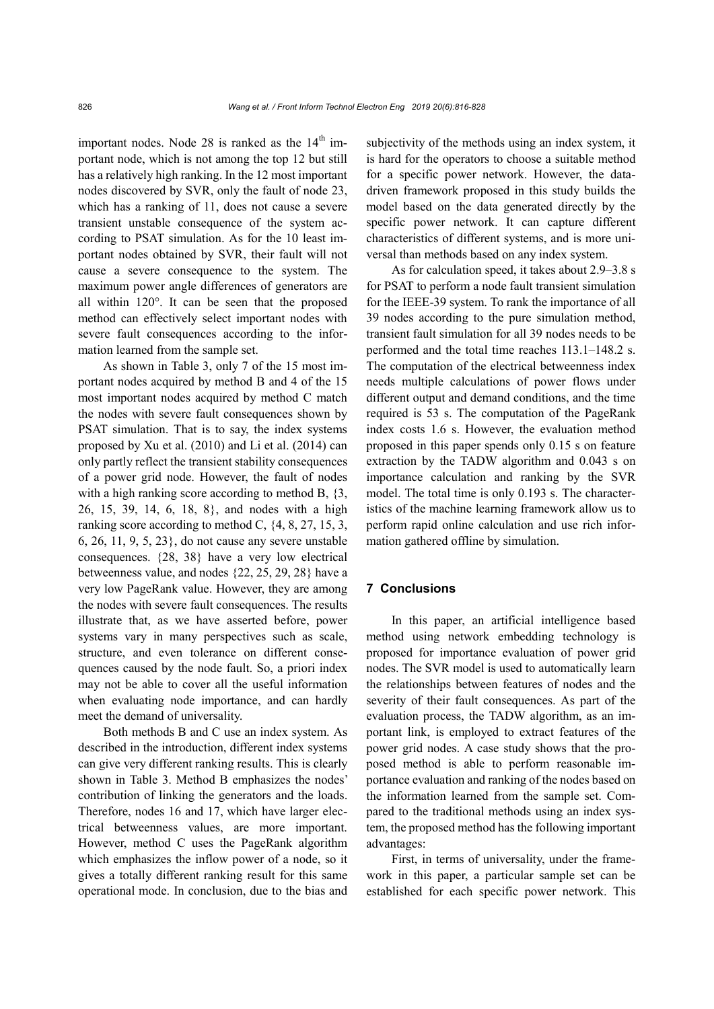important nodes. Node 28 is ranked as the  $14<sup>th</sup>$  important node, which is not among the top 12 but still has a relatively high ranking. In the 12 most important nodes discovered by SVR, only the fault of node 23, which has a ranking of 11, does not cause a severe transient unstable consequence of the system according to PSAT simulation. As for the 10 least important nodes obtained by SVR, their fault will not cause a severe consequence to the system. The maximum power angle differences of generators are all within 120°. It can be seen that the proposed method can effectively select important nodes with severe fault consequences according to the information learned from the sample set.

As shown in Table 3, only 7 of the 15 most important nodes acquired by method B and 4 of the 15 most important nodes acquired by method C match the nodes with severe fault consequences shown by PSAT simulation. That is to say, the index systems proposed by Xu et al. (2010) and Li et al. (2014) can only partly reflect the transient stability consequences of a power grid node. However, the fault of nodes with a high ranking score according to method B, {3, 26, 15, 39, 14, 6, 18, 8}, and nodes with a high ranking score according to method C,  $\{4, 8, 27, 15, 3, \}$ 6, 26, 11, 9, 5, 23}, do not cause any severe unstable consequences. {28, 38} have a very low electrical betweenness value, and nodes {22, 25, 29, 28} have a very low PageRank value. However, they are among the nodes with severe fault consequences. The results illustrate that, as we have asserted before, power systems vary in many perspectives such as scale, structure, and even tolerance on different consequences caused by the node fault. So, a priori index may not be able to cover all the useful information when evaluating node importance, and can hardly meet the demand of universality.

Both methods B and C use an index system. As described in the introduction, different index systems can give very different ranking results. This is clearly shown in Table 3. Method B emphasizes the nodes' contribution of linking the generators and the loads. Therefore, nodes 16 and 17, which have larger electrical betweenness values, are more important. However, method C uses the PageRank algorithm which emphasizes the inflow power of a node, so it gives a totally different ranking result for this same operational mode. In conclusion, due to the bias and subjectivity of the methods using an index system, it is hard for the operators to choose a suitable method for a specific power network. However, the datadriven framework proposed in this study builds the model based on the data generated directly by the specific power network. It can capture different characteristics of different systems, and is more universal than methods based on any index system.

As for calculation speed, it takes about 2.9–3.8 s for PSAT to perform a node fault transient simulation for the IEEE-39 system. To rank the importance of all 39 nodes according to the pure simulation method, transient fault simulation for all 39 nodes needs to be performed and the total time reaches 113.1–148.2 s. The computation of the electrical betweenness index needs multiple calculations of power flows under different output and demand conditions, and the time required is 53 s. The computation of the PageRank index costs 1.6 s. However, the evaluation method proposed in this paper spends only 0.15 s on feature extraction by the TADW algorithm and 0.043 s on importance calculation and ranking by the SVR model. The total time is only 0.193 s. The characteristics of the machine learning framework allow us to perform rapid online calculation and use rich information gathered offline by simulation.

## **7 Conclusions**

In this paper, an artificial intelligence based method using network embedding technology is proposed for importance evaluation of power grid nodes. The SVR model is used to automatically learn the relationships between features of nodes and the severity of their fault consequences. As part of the evaluation process, the TADW algorithm, as an important link, is employed to extract features of the power grid nodes. A case study shows that the proposed method is able to perform reasonable importance evaluation and ranking of the nodes based on the information learned from the sample set. Compared to the traditional methods using an index system, the proposed method has the following important advantages:

First, in terms of universality, under the framework in this paper, a particular sample set can be established for each specific power network. This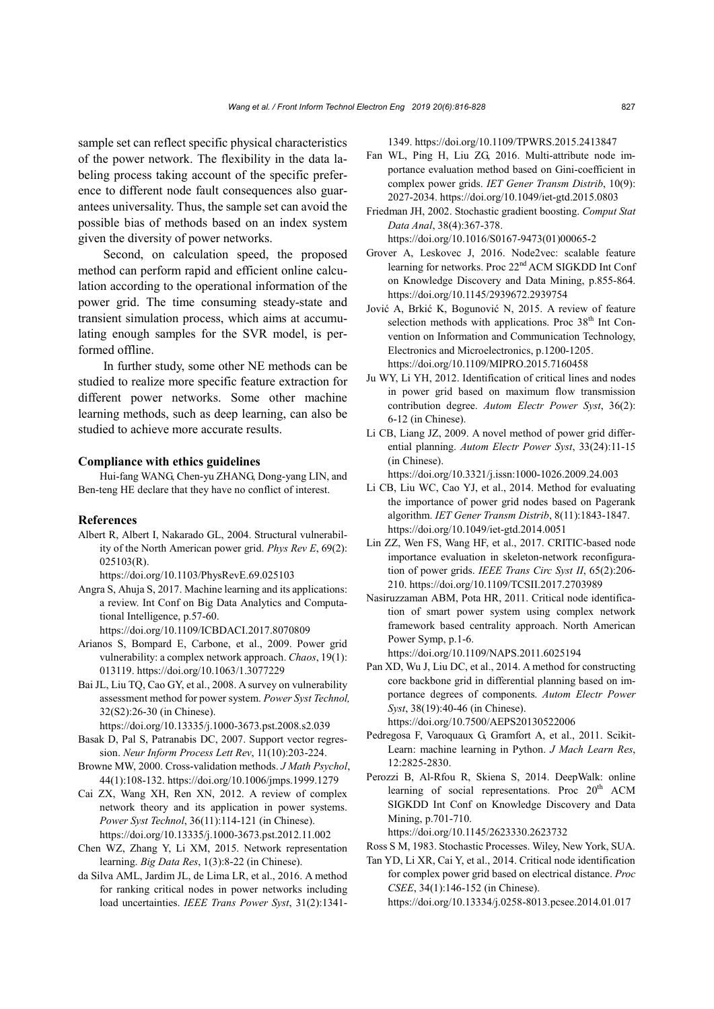sample set can reflect specific physical characteristics of the power network. The flexibility in the data labeling process taking account of the specific preference to different node fault consequences also guarantees universality. Thus, the sample set can avoid the possible bias of methods based on an index system given the diversity of power networks.

Second, on calculation speed, the proposed method can perform rapid and efficient online calculation according to the operational information of the power grid. The time consuming steady-state and transient simulation process, which aims at accumulating enough samples for the SVR model, is performed offline.

In further study, some other NE methods can be studied to realize more specific feature extraction for different power networks. Some other machine learning methods, such as deep learning, can also be studied to achieve more accurate results.

#### **Compliance with ethics guidelines**

Hui-fang WANG, Chen-yu ZHANG, Dong-yang LIN, and Ben-teng HE declare that they have no conflict of interest.

#### **References**

Albert R, Albert I, Nakarado GL, 2004. Structural vulnerability of the North American power grid. *Phys Rev E*, 69(2): 025103(R).

https://doi.org/10.1103/PhysRevE.69.025103

- Angra S, Ahuja S, 2017. Machine learning and its applications: a review. Int Conf on Big Data Analytics and Computational Intelligence, p.57-60.
- https://doi.org[/10.1109/ICBDACI.2017.8070809](https://doi.org/10.1109/ICBDACI.2017.8070809) Arianos S, Bompard E, Carbone, et al., 2009. Power grid
- vulnerability: a complex network approach. *Chaos*, 19(1): 013119. https://doi.org/10.1063/1.3077229
- Bai JL, Liu TQ, Cao GY, et al., 2008. A survey on vulnerability assessment method for power system. *Power Syst Technol,*  32(S2):26-30 (in Chinese).

https://doi.org/10.13335/j.1000-3673.pst.2008.s2.039

- Basak D, Pal S, Patranabis DC, 2007. Support vector regression. *Neur Inform Process Lett Rev*, 11(10):203-224.
- Browne MW, 2000. Cross-validation methods. *J Math Psychol*, 44(1):108-132. https://doi.org[/10.1006/jmps.1999.1279](https://doi.org/10.1006/jmps.1999.1279)
- Cai ZX, Wang XH, Ren XN, 2012. A review of complex network theory and its application in power systems. *Power Syst Technol*, 36(11):114-121 (in Chinese). https://doi.org/10.13335/j.1000-3673.pst.2012.11.002
- Chen WZ, Zhang Y, Li XM, 2015. Network representation learning. *Big Data Res*, 1(3):8-22 (in Chinese).
- da Silva AML, Jardim JL, de Lima LR, et al., 2016. A method for ranking critical nodes in power networks including load uncertainties. *IEEE Trans Power Syst*, 31(2):1341-

1349. https://doi.org[/10.1109/TPWRS.2015.2413847](https://doi.org/10.1109/TPWRS.2015.2413847)

- Fan WL, Ping H, Liu ZG, 2016. Multi-attribute node importance evaluation method based on Gini-coefficient in complex power grids. *IET Gener Transm Distrib*, 10(9): 2027-2034. https://doi.org[/10.1049/iet-gtd.2015.0803](https://doi.org/10.1049/iet-gtd.2015.0803)
- Friedman JH, 2002. Stochastic gradient boosting. *Comput Stat Data Anal*, 38(4):367-378. [https://doi.org/10.1016/S0167-9473\(01\)00065-2](https://doi.org/10.1016/S0167-9473(01)00065-2)
- Grover A, Leskovec J, 2016. Node2vec: scalable feature learning for networks. Proc 22nd ACM SIGKDD Int Conf on Knowledge Discovery and Data Mining, p.855-864. https://doi.org/10.1145/2939672.2939754
- Jović A, Brkić K, Bogunović N, 2015. A review of feature selection methods with applications. Proc  $38<sup>th</sup>$  Int Convention on Information and Communication Technology, Electronics and Microelectronics, p.1200-1205. https://doi.or[g/10.1109/MIPRO.2015.7160458](https://doi.org/10.1109/MIPRO.2015.7160458)
- Ju WY, Li YH, 2012. Identification of critical lines and nodes in power grid based on maximum flow transmission contribution degree. *Autom Electr Power Syst*, 36(2): 6-12 (in Chinese).
- Li CB, Liang JZ, 2009. A novel method of power grid differential planning. *Autom Electr Power Syst*, 33(24):11-15 (in Chinese).

https://doi.org/10.3321/j.issn:1000-1026.2009.24.003

- Li CB, Liu WC, Cao YJ, et al., 2014. Method for evaluating the importance of power grid nodes based on Pagerank algorithm. *IET Gener Transm Distrib*, 8(11):1843-1847. https://doi.or[g/10.1049/iet-gtd.2014.0051](https://doi.org/10.1049/iet-gtd.2014.0051)
- Lin ZZ, Wen FS, Wang HF, et al., 2017. CRITIC-based node importance evaluation in skeleton-network reconfiguration of power grids. *IEEE Trans Circ Syst II*, 65(2):206- 210. https://doi.or[g/10.1109/TCSII.2017.2703989](https://doi.org/10.1109/TCSII.2017.2703989)
- Nasiruzzaman ABM, Pota HR, 2011. Critical node identification of smart power system using complex network framework based centrality approach. North American Power Symp, p.1-6.

https://doi.or[g/10.1109/NAPS.2011.6025194](https://doi.org/10.1109/NAPS.2011.6025194)

- Pan XD, Wu J, Liu DC, et al., 2014. A method for constructing core backbone grid in differential planning based on importance degrees of components. *Autom Electr Power Syst*, 38(19):40-46 (in Chinese). https://doi.or[g/10.7500/AEPS20130522006](http://www.wanfangdata.com.cn/details/javascript:void(0);)
- Pedregosa F, [Varoquaux](https://dl.acm.org/author_page.cfm?id=81467656009&coll=DL&dl=ACM&trk=0) G, Gramfort A, et al., 2011. Scikit-Learn: machine learning in Python. *J Mach Learn Res*, 12:2825-2830.
- Perozzi B, Al-Rfou R, Skiena S, 2014. DeepWalk: online learning of social representations. Proc  $20<sup>th</sup>$  ACM SIGKDD Int Conf on Knowledge Discovery and Data Mining, p.701-710.

https://doi.or[g/10.1145/2623330.2623732](https://doi.org/10.1145/2623330.2623732)

- Ross S M, 1983. Stochastic Processes. Wiley, New York, SUA.
- Tan YD, Li XR, Cai Y, et al., 2014. Critical node identification for complex power grid based on electrical distance. *Proc CSEE*, 34(1):146-152 (in Chinese). https://doi.or[g/10.13334/j.0258-8013.pcsee.2014.01.017](http://www.wanfangdata.com.cn/details/javascript:void(0);)